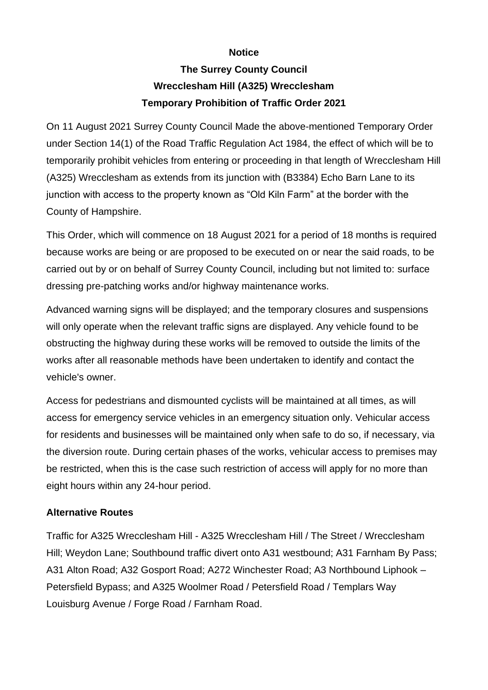## **Notice**

## **The Surrey County Council Wrecclesham Hill (A325) Wrecclesham Temporary Prohibition of Traffic Order 2021**

On 11 August 2021 Surrey County Council Made the above-mentioned Temporary Order under Section 14(1) of the Road Traffic Regulation Act 1984, the effect of which will be to temporarily prohibit vehicles from entering or proceeding in that length of Wrecclesham Hill (A325) Wrecclesham as extends from its junction with (B3384) Echo Barn Lane to its junction with access to the property known as "Old Kiln Farm" at the border with the County of Hampshire.

This Order, which will commence on 18 August 2021 for a period of 18 months is required because works are being or are proposed to be executed on or near the said roads, to be carried out by or on behalf of Surrey County Council, including but not limited to: surface dressing pre-patching works and/or highway maintenance works.

Advanced warning signs will be displayed; and the temporary closures and suspensions will only operate when the relevant traffic signs are displayed. Any vehicle found to be obstructing the highway during these works will be removed to outside the limits of the works after all reasonable methods have been undertaken to identify and contact the vehicle's owner.

Access for pedestrians and dismounted cyclists will be maintained at all times, as will access for emergency service vehicles in an emergency situation only. Vehicular access for residents and businesses will be maintained only when safe to do so, if necessary, via the diversion route. During certain phases of the works, vehicular access to premises may be restricted, when this is the case such restriction of access will apply for no more than eight hours within any 24-hour period.

## **Alternative Routes**

Traffic for A325 Wrecclesham Hill - A325 Wrecclesham Hill / The Street / Wrecclesham Hill; Weydon Lane; Southbound traffic divert onto A31 westbound; A31 Farnham By Pass; A31 Alton Road; A32 Gosport Road; A272 Winchester Road; A3 Northbound Liphook – Petersfield Bypass; and A325 Woolmer Road / Petersfield Road / Templars Way Louisburg Avenue / Forge Road / Farnham Road.